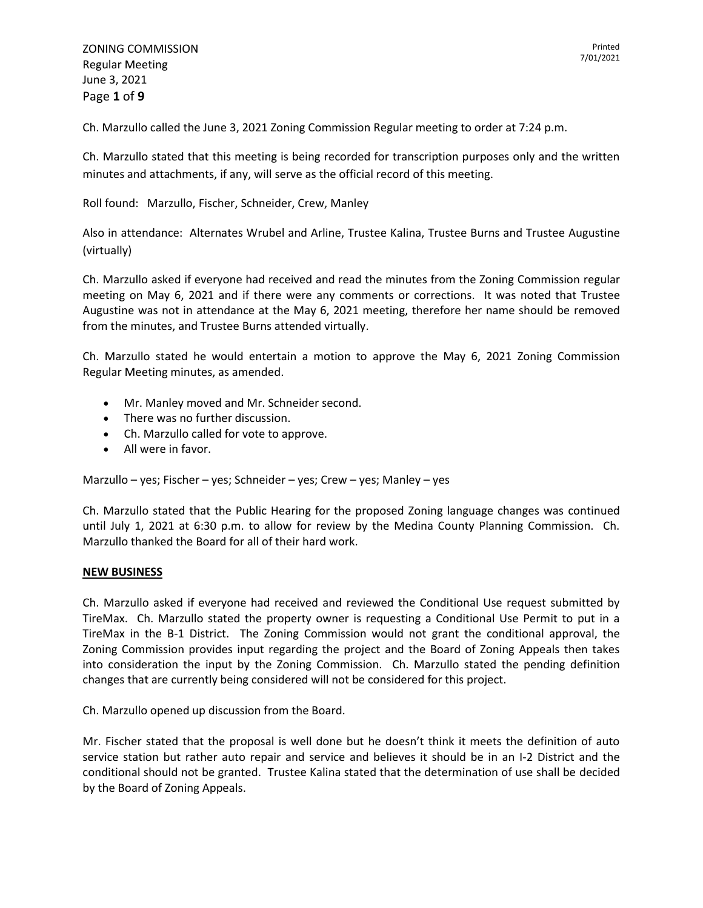ZONING COMMISSION Regular Meeting June 3, 2021 Page **1** of **9**

Ch. Marzullo called the June 3, 2021 Zoning Commission Regular meeting to order at 7:24 p.m.

Ch. Marzullo stated that this meeting is being recorded for transcription purposes only and the written minutes and attachments, if any, will serve as the official record of this meeting.

Roll found: Marzullo, Fischer, Schneider, Crew, Manley

Also in attendance: Alternates Wrubel and Arline, Trustee Kalina, Trustee Burns and Trustee Augustine (virtually)

Ch. Marzullo asked if everyone had received and read the minutes from the Zoning Commission regular meeting on May 6, 2021 and if there were any comments or corrections. It was noted that Trustee Augustine was not in attendance at the May 6, 2021 meeting, therefore her name should be removed from the minutes, and Trustee Burns attended virtually.

Ch. Marzullo stated he would entertain a motion to approve the May 6, 2021 Zoning Commission Regular Meeting minutes, as amended.

- Mr. Manley moved and Mr. Schneider second.
- There was no further discussion.
- Ch. Marzullo called for vote to approve.
- All were in favor.

Marzullo – yes; Fischer – yes; Schneider – yes; Crew – yes; Manley – yes

Ch. Marzullo stated that the Public Hearing for the proposed Zoning language changes was continued until July 1, 2021 at 6:30 p.m. to allow for review by the Medina County Planning Commission. Ch. Marzullo thanked the Board for all of their hard work.

### **NEW BUSINESS**

Ch. Marzullo asked if everyone had received and reviewed the Conditional Use request submitted by TireMax. Ch. Marzullo stated the property owner is requesting a Conditional Use Permit to put in a TireMax in the B-1 District. The Zoning Commission would not grant the conditional approval, the Zoning Commission provides input regarding the project and the Board of Zoning Appeals then takes into consideration the input by the Zoning Commission. Ch. Marzullo stated the pending definition changes that are currently being considered will not be considered for this project.

Ch. Marzullo opened up discussion from the Board.

Mr. Fischer stated that the proposal is well done but he doesn't think it meets the definition of auto service station but rather auto repair and service and believes it should be in an I-2 District and the conditional should not be granted. Trustee Kalina stated that the determination of use shall be decided by the Board of Zoning Appeals.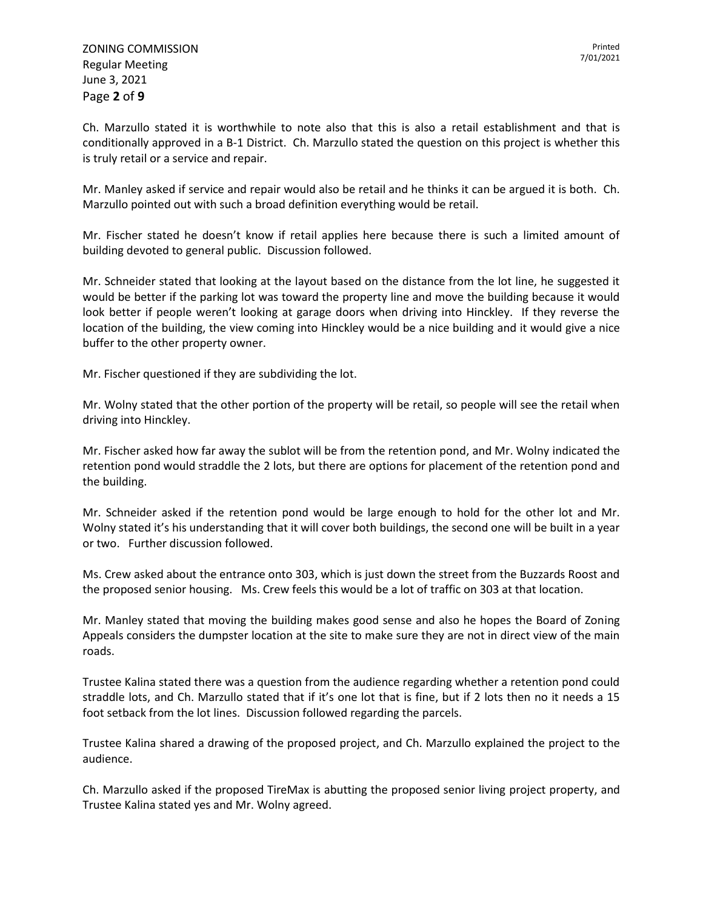Ch. Marzullo stated it is worthwhile to note also that this is also a retail establishment and that is conditionally approved in a B-1 District. Ch. Marzullo stated the question on this project is whether this is truly retail or a service and repair.

Mr. Manley asked if service and repair would also be retail and he thinks it can be argued it is both. Ch. Marzullo pointed out with such a broad definition everything would be retail.

Mr. Fischer stated he doesn't know if retail applies here because there is such a limited amount of building devoted to general public. Discussion followed.

Mr. Schneider stated that looking at the layout based on the distance from the lot line, he suggested it would be better if the parking lot was toward the property line and move the building because it would look better if people weren't looking at garage doors when driving into Hinckley. If they reverse the location of the building, the view coming into Hinckley would be a nice building and it would give a nice buffer to the other property owner.

Mr. Fischer questioned if they are subdividing the lot.

Mr. Wolny stated that the other portion of the property will be retail, so people will see the retail when driving into Hinckley.

Mr. Fischer asked how far away the sublot will be from the retention pond, and Mr. Wolny indicated the retention pond would straddle the 2 lots, but there are options for placement of the retention pond and the building.

Mr. Schneider asked if the retention pond would be large enough to hold for the other lot and Mr. Wolny stated it's his understanding that it will cover both buildings, the second one will be built in a year or two. Further discussion followed.

Ms. Crew asked about the entrance onto 303, which is just down the street from the Buzzards Roost and the proposed senior housing. Ms. Crew feels this would be a lot of traffic on 303 at that location.

Mr. Manley stated that moving the building makes good sense and also he hopes the Board of Zoning Appeals considers the dumpster location at the site to make sure they are not in direct view of the main roads.

Trustee Kalina stated there was a question from the audience regarding whether a retention pond could straddle lots, and Ch. Marzullo stated that if it's one lot that is fine, but if 2 lots then no it needs a 15 foot setback from the lot lines. Discussion followed regarding the parcels.

Trustee Kalina shared a drawing of the proposed project, and Ch. Marzullo explained the project to the audience.

Ch. Marzullo asked if the proposed TireMax is abutting the proposed senior living project property, and Trustee Kalina stated yes and Mr. Wolny agreed.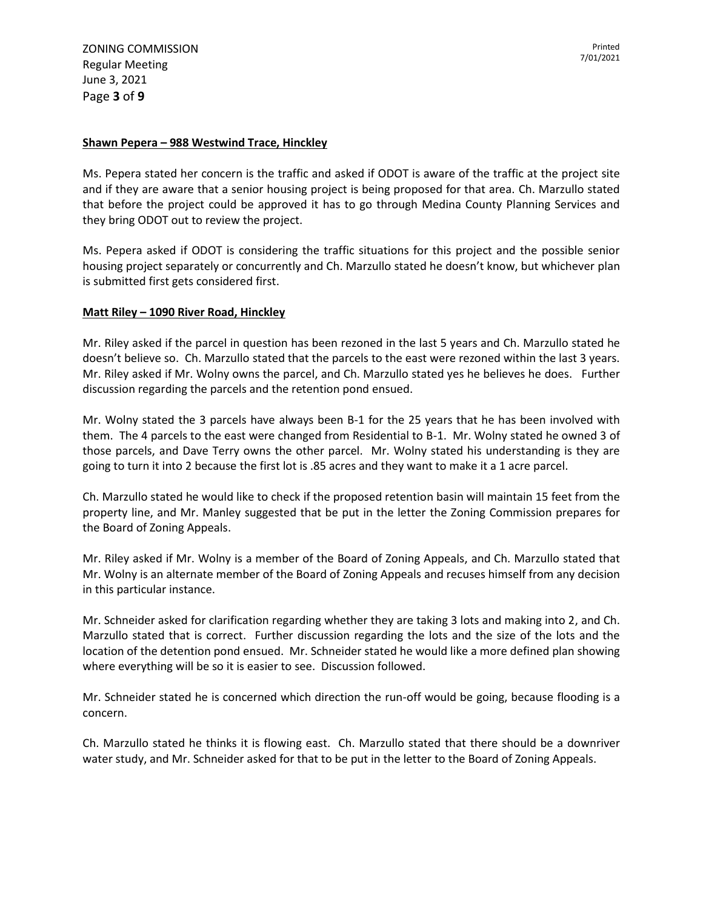## **Shawn Pepera – 988 Westwind Trace, Hinckley**

Ms. Pepera stated her concern is the traffic and asked if ODOT is aware of the traffic at the project site and if they are aware that a senior housing project is being proposed for that area. Ch. Marzullo stated that before the project could be approved it has to go through Medina County Planning Services and they bring ODOT out to review the project.

Ms. Pepera asked if ODOT is considering the traffic situations for this project and the possible senior housing project separately or concurrently and Ch. Marzullo stated he doesn't know, but whichever plan is submitted first gets considered first.

## **Matt Riley – 1090 River Road, Hinckley**

Mr. Riley asked if the parcel in question has been rezoned in the last 5 years and Ch. Marzullo stated he doesn't believe so. Ch. Marzullo stated that the parcels to the east were rezoned within the last 3 years. Mr. Riley asked if Mr. Wolny owns the parcel, and Ch. Marzullo stated yes he believes he does. Further discussion regarding the parcels and the retention pond ensued.

Mr. Wolny stated the 3 parcels have always been B-1 for the 25 years that he has been involved with them. The 4 parcels to the east were changed from Residential to B-1. Mr. Wolny stated he owned 3 of those parcels, and Dave Terry owns the other parcel. Mr. Wolny stated his understanding is they are going to turn it into 2 because the first lot is .85 acres and they want to make it a 1 acre parcel.

Ch. Marzullo stated he would like to check if the proposed retention basin will maintain 15 feet from the property line, and Mr. Manley suggested that be put in the letter the Zoning Commission prepares for the Board of Zoning Appeals.

Mr. Riley asked if Mr. Wolny is a member of the Board of Zoning Appeals, and Ch. Marzullo stated that Mr. Wolny is an alternate member of the Board of Zoning Appeals and recuses himself from any decision in this particular instance.

Mr. Schneider asked for clarification regarding whether they are taking 3 lots and making into 2, and Ch. Marzullo stated that is correct. Further discussion regarding the lots and the size of the lots and the location of the detention pond ensued. Mr. Schneider stated he would like a more defined plan showing where everything will be so it is easier to see. Discussion followed.

Mr. Schneider stated he is concerned which direction the run-off would be going, because flooding is a concern.

Ch. Marzullo stated he thinks it is flowing east. Ch. Marzullo stated that there should be a downriver water study, and Mr. Schneider asked for that to be put in the letter to the Board of Zoning Appeals.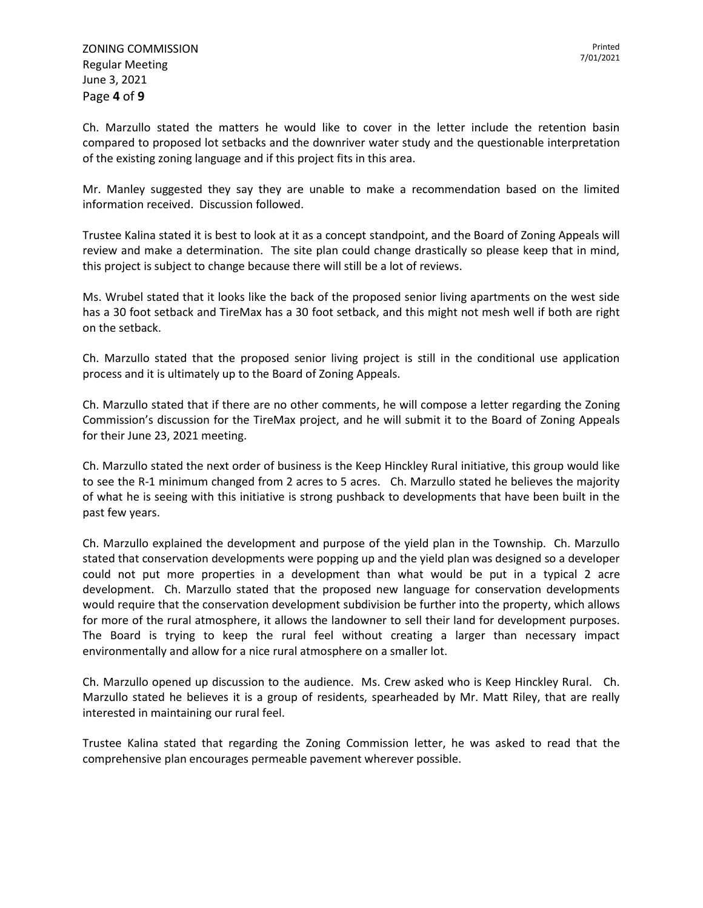Ch. Marzullo stated the matters he would like to cover in the letter include the retention basin compared to proposed lot setbacks and the downriver water study and the questionable interpretation of the existing zoning language and if this project fits in this area.

Mr. Manley suggested they say they are unable to make a recommendation based on the limited information received. Discussion followed.

Trustee Kalina stated it is best to look at it as a concept standpoint, and the Board of Zoning Appeals will review and make a determination. The site plan could change drastically so please keep that in mind, this project is subject to change because there will still be a lot of reviews.

Ms. Wrubel stated that it looks like the back of the proposed senior living apartments on the west side has a 30 foot setback and TireMax has a 30 foot setback, and this might not mesh well if both are right on the setback.

Ch. Marzullo stated that the proposed senior living project is still in the conditional use application process and it is ultimately up to the Board of Zoning Appeals.

Ch. Marzullo stated that if there are no other comments, he will compose a letter regarding the Zoning Commission's discussion for the TireMax project, and he will submit it to the Board of Zoning Appeals for their June 23, 2021 meeting.

Ch. Marzullo stated the next order of business is the Keep Hinckley Rural initiative, this group would like to see the R-1 minimum changed from 2 acres to 5 acres. Ch. Marzullo stated he believes the majority of what he is seeing with this initiative is strong pushback to developments that have been built in the past few years.

Ch. Marzullo explained the development and purpose of the yield plan in the Township. Ch. Marzullo stated that conservation developments were popping up and the yield plan was designed so a developer could not put more properties in a development than what would be put in a typical 2 acre development. Ch. Marzullo stated that the proposed new language for conservation developments would require that the conservation development subdivision be further into the property, which allows for more of the rural atmosphere, it allows the landowner to sell their land for development purposes. The Board is trying to keep the rural feel without creating a larger than necessary impact environmentally and allow for a nice rural atmosphere on a smaller lot.

Ch. Marzullo opened up discussion to the audience. Ms. Crew asked who is Keep Hinckley Rural. Ch. Marzullo stated he believes it is a group of residents, spearheaded by Mr. Matt Riley, that are really interested in maintaining our rural feel.

Trustee Kalina stated that regarding the Zoning Commission letter, he was asked to read that the comprehensive plan encourages permeable pavement wherever possible.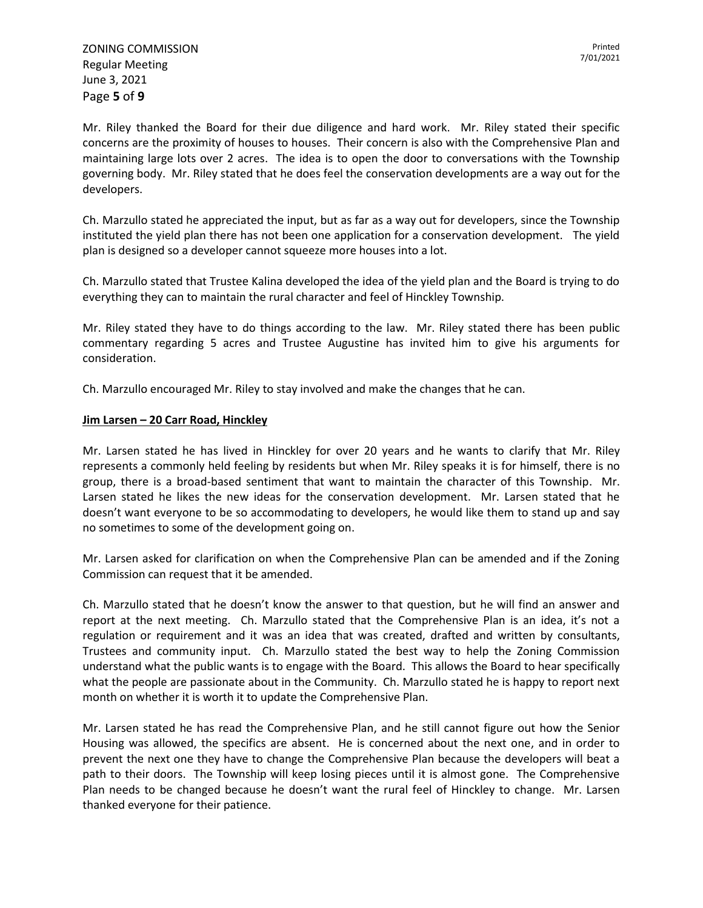Mr. Riley thanked the Board for their due diligence and hard work. Mr. Riley stated their specific concerns are the proximity of houses to houses. Their concern is also with the Comprehensive Plan and maintaining large lots over 2 acres. The idea is to open the door to conversations with the Township governing body. Mr. Riley stated that he does feel the conservation developments are a way out for the developers.

Ch. Marzullo stated he appreciated the input, but as far as a way out for developers, since the Township instituted the yield plan there has not been one application for a conservation development. The yield plan is designed so a developer cannot squeeze more houses into a lot.

Ch. Marzullo stated that Trustee Kalina developed the idea of the yield plan and the Board is trying to do everything they can to maintain the rural character and feel of Hinckley Township.

Mr. Riley stated they have to do things according to the law. Mr. Riley stated there has been public commentary regarding 5 acres and Trustee Augustine has invited him to give his arguments for consideration.

Ch. Marzullo encouraged Mr. Riley to stay involved and make the changes that he can.

## **Jim Larsen – 20 Carr Road, Hinckley**

Mr. Larsen stated he has lived in Hinckley for over 20 years and he wants to clarify that Mr. Riley represents a commonly held feeling by residents but when Mr. Riley speaks it is for himself, there is no group, there is a broad-based sentiment that want to maintain the character of this Township. Mr. Larsen stated he likes the new ideas for the conservation development. Mr. Larsen stated that he doesn't want everyone to be so accommodating to developers, he would like them to stand up and say no sometimes to some of the development going on.

Mr. Larsen asked for clarification on when the Comprehensive Plan can be amended and if the Zoning Commission can request that it be amended.

Ch. Marzullo stated that he doesn't know the answer to that question, but he will find an answer and report at the next meeting. Ch. Marzullo stated that the Comprehensive Plan is an idea, it's not a regulation or requirement and it was an idea that was created, drafted and written by consultants, Trustees and community input. Ch. Marzullo stated the best way to help the Zoning Commission understand what the public wants is to engage with the Board. This allows the Board to hear specifically what the people are passionate about in the Community. Ch. Marzullo stated he is happy to report next month on whether it is worth it to update the Comprehensive Plan.

Mr. Larsen stated he has read the Comprehensive Plan, and he still cannot figure out how the Senior Housing was allowed, the specifics are absent. He is concerned about the next one, and in order to prevent the next one they have to change the Comprehensive Plan because the developers will beat a path to their doors. The Township will keep losing pieces until it is almost gone. The Comprehensive Plan needs to be changed because he doesn't want the rural feel of Hinckley to change. Mr. Larsen thanked everyone for their patience.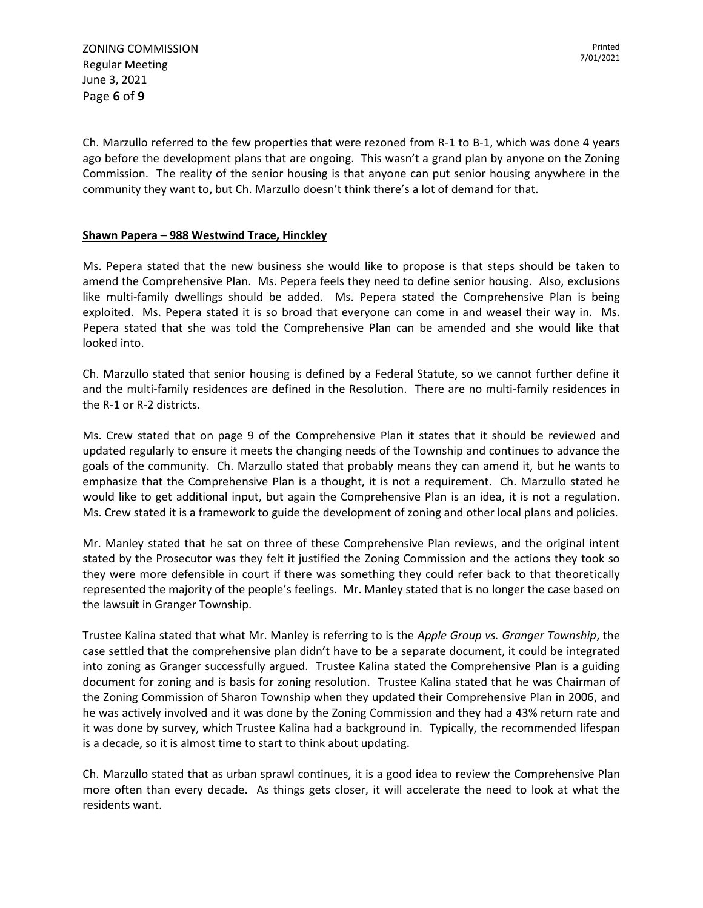ZONING COMMISSION Regular Meeting June 3, 2021 Page **6** of **9**

Ch. Marzullo referred to the few properties that were rezoned from R-1 to B-1, which was done 4 years ago before the development plans that are ongoing. This wasn't a grand plan by anyone on the Zoning Commission. The reality of the senior housing is that anyone can put senior housing anywhere in the community they want to, but Ch. Marzullo doesn't think there's a lot of demand for that.

# **Shawn Papera – 988 Westwind Trace, Hinckley**

Ms. Pepera stated that the new business she would like to propose is that steps should be taken to amend the Comprehensive Plan. Ms. Pepera feels they need to define senior housing. Also, exclusions like multi-family dwellings should be added. Ms. Pepera stated the Comprehensive Plan is being exploited. Ms. Pepera stated it is so broad that everyone can come in and weasel their way in. Ms. Pepera stated that she was told the Comprehensive Plan can be amended and she would like that looked into.

Ch. Marzullo stated that senior housing is defined by a Federal Statute, so we cannot further define it and the multi-family residences are defined in the Resolution. There are no multi-family residences in the R-1 or R-2 districts.

Ms. Crew stated that on page 9 of the Comprehensive Plan it states that it should be reviewed and updated regularly to ensure it meets the changing needs of the Township and continues to advance the goals of the community. Ch. Marzullo stated that probably means they can amend it, but he wants to emphasize that the Comprehensive Plan is a thought, it is not a requirement. Ch. Marzullo stated he would like to get additional input, but again the Comprehensive Plan is an idea, it is not a regulation. Ms. Crew stated it is a framework to guide the development of zoning and other local plans and policies.

Mr. Manley stated that he sat on three of these Comprehensive Plan reviews, and the original intent stated by the Prosecutor was they felt it justified the Zoning Commission and the actions they took so they were more defensible in court if there was something they could refer back to that theoretically represented the majority of the people's feelings. Mr. Manley stated that is no longer the case based on the lawsuit in Granger Township.

Trustee Kalina stated that what Mr. Manley is referring to is the *Apple Group vs. Granger Township*, the case settled that the comprehensive plan didn't have to be a separate document, it could be integrated into zoning as Granger successfully argued. Trustee Kalina stated the Comprehensive Plan is a guiding document for zoning and is basis for zoning resolution. Trustee Kalina stated that he was Chairman of the Zoning Commission of Sharon Township when they updated their Comprehensive Plan in 2006, and he was actively involved and it was done by the Zoning Commission and they had a 43% return rate and it was done by survey, which Trustee Kalina had a background in. Typically, the recommended lifespan is a decade, so it is almost time to start to think about updating.

Ch. Marzullo stated that as urban sprawl continues, it is a good idea to review the Comprehensive Plan more often than every decade. As things gets closer, it will accelerate the need to look at what the residents want.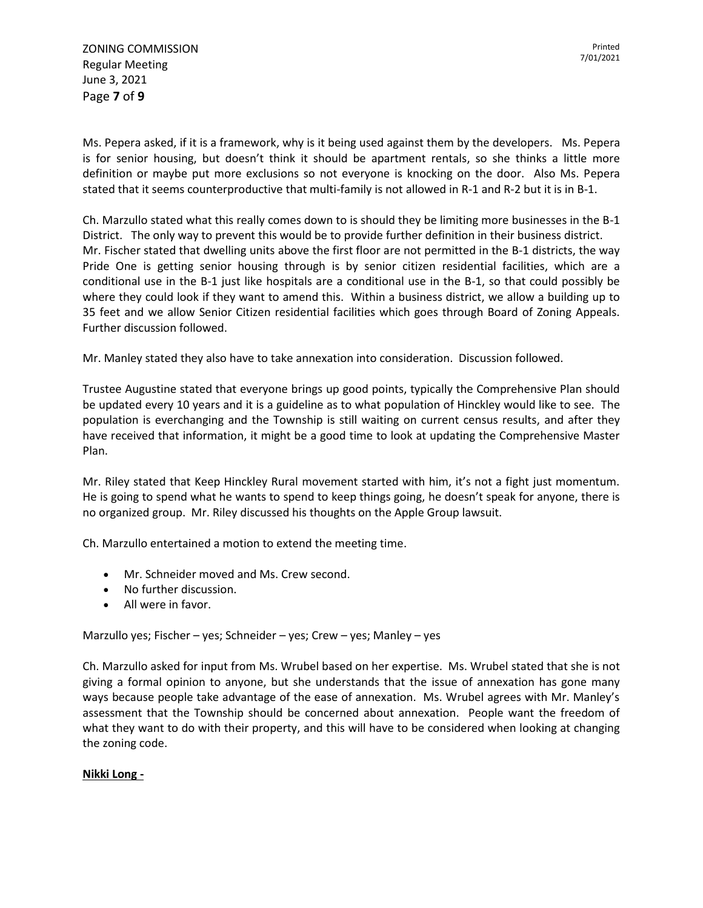ZONING COMMISSION Regular Meeting June 3, 2021 Page **7** of **9**

Ms. Pepera asked, if it is a framework, why is it being used against them by the developers. Ms. Pepera is for senior housing, but doesn't think it should be apartment rentals, so she thinks a little more definition or maybe put more exclusions so not everyone is knocking on the door. Also Ms. Pepera stated that it seems counterproductive that multi-family is not allowed in R-1 and R-2 but it is in B-1.

Ch. Marzullo stated what this really comes down to is should they be limiting more businesses in the B-1 District. The only way to prevent this would be to provide further definition in their business district. Mr. Fischer stated that dwelling units above the first floor are not permitted in the B-1 districts, the way Pride One is getting senior housing through is by senior citizen residential facilities, which are a conditional use in the B-1 just like hospitals are a conditional use in the B-1, so that could possibly be where they could look if they want to amend this. Within a business district, we allow a building up to 35 feet and we allow Senior Citizen residential facilities which goes through Board of Zoning Appeals. Further discussion followed.

Mr. Manley stated they also have to take annexation into consideration. Discussion followed.

Trustee Augustine stated that everyone brings up good points, typically the Comprehensive Plan should be updated every 10 years and it is a guideline as to what population of Hinckley would like to see. The population is everchanging and the Township is still waiting on current census results, and after they have received that information, it might be a good time to look at updating the Comprehensive Master Plan.

Mr. Riley stated that Keep Hinckley Rural movement started with him, it's not a fight just momentum. He is going to spend what he wants to spend to keep things going, he doesn't speak for anyone, there is no organized group. Mr. Riley discussed his thoughts on the Apple Group lawsuit.

Ch. Marzullo entertained a motion to extend the meeting time.

- Mr. Schneider moved and Ms. Crew second.
- No further discussion.
- All were in favor.

Marzullo yes; Fischer – yes; Schneider – yes; Crew – yes; Manley – yes

Ch. Marzullo asked for input from Ms. Wrubel based on her expertise. Ms. Wrubel stated that she is not giving a formal opinion to anyone, but she understands that the issue of annexation has gone many ways because people take advantage of the ease of annexation. Ms. Wrubel agrees with Mr. Manley's assessment that the Township should be concerned about annexation. People want the freedom of what they want to do with their property, and this will have to be considered when looking at changing the zoning code.

### **Nikki Long -**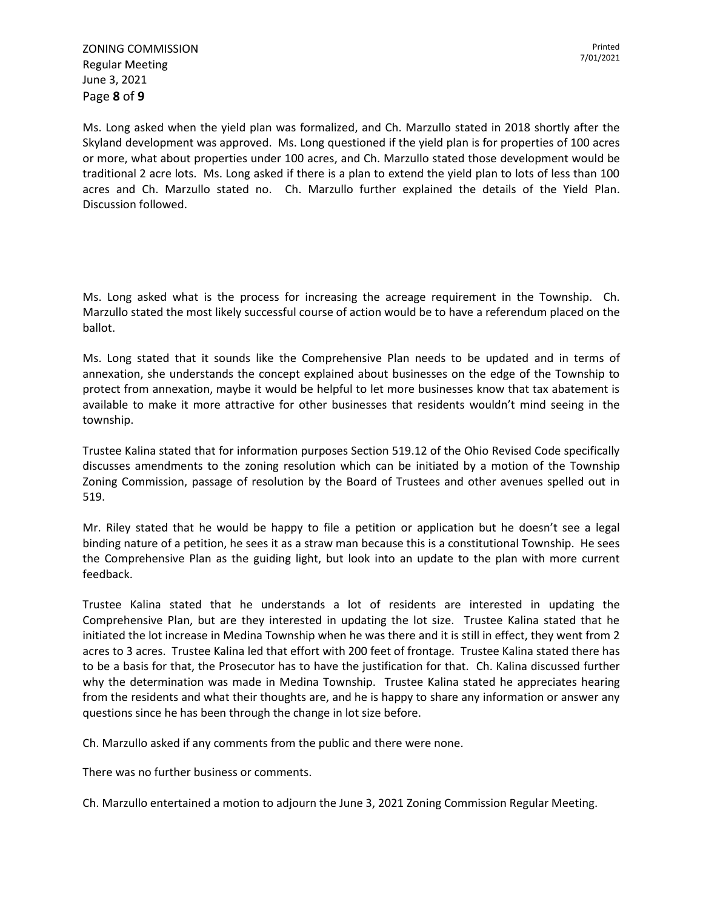Ms. Long asked when the yield plan was formalized, and Ch. Marzullo stated in 2018 shortly after the Skyland development was approved. Ms. Long questioned if the yield plan is for properties of 100 acres or more, what about properties under 100 acres, and Ch. Marzullo stated those development would be traditional 2 acre lots. Ms. Long asked if there is a plan to extend the yield plan to lots of less than 100 acres and Ch. Marzullo stated no. Ch. Marzullo further explained the details of the Yield Plan. Discussion followed.

Ms. Long asked what is the process for increasing the acreage requirement in the Township. Ch. Marzullo stated the most likely successful course of action would be to have a referendum placed on the ballot.

Ms. Long stated that it sounds like the Comprehensive Plan needs to be updated and in terms of annexation, she understands the concept explained about businesses on the edge of the Township to protect from annexation, maybe it would be helpful to let more businesses know that tax abatement is available to make it more attractive for other businesses that residents wouldn't mind seeing in the township.

Trustee Kalina stated that for information purposes Section 519.12 of the Ohio Revised Code specifically discusses amendments to the zoning resolution which can be initiated by a motion of the Township Zoning Commission, passage of resolution by the Board of Trustees and other avenues spelled out in 519.

Mr. Riley stated that he would be happy to file a petition or application but he doesn't see a legal binding nature of a petition, he sees it as a straw man because this is a constitutional Township. He sees the Comprehensive Plan as the guiding light, but look into an update to the plan with more current feedback.

Trustee Kalina stated that he understands a lot of residents are interested in updating the Comprehensive Plan, but are they interested in updating the lot size. Trustee Kalina stated that he initiated the lot increase in Medina Township when he was there and it is still in effect, they went from 2 acres to 3 acres. Trustee Kalina led that effort with 200 feet of frontage. Trustee Kalina stated there has to be a basis for that, the Prosecutor has to have the justification for that. Ch. Kalina discussed further why the determination was made in Medina Township. Trustee Kalina stated he appreciates hearing from the residents and what their thoughts are, and he is happy to share any information or answer any questions since he has been through the change in lot size before.

Ch. Marzullo asked if any comments from the public and there were none.

There was no further business or comments.

Ch. Marzullo entertained a motion to adjourn the June 3, 2021 Zoning Commission Regular Meeting.